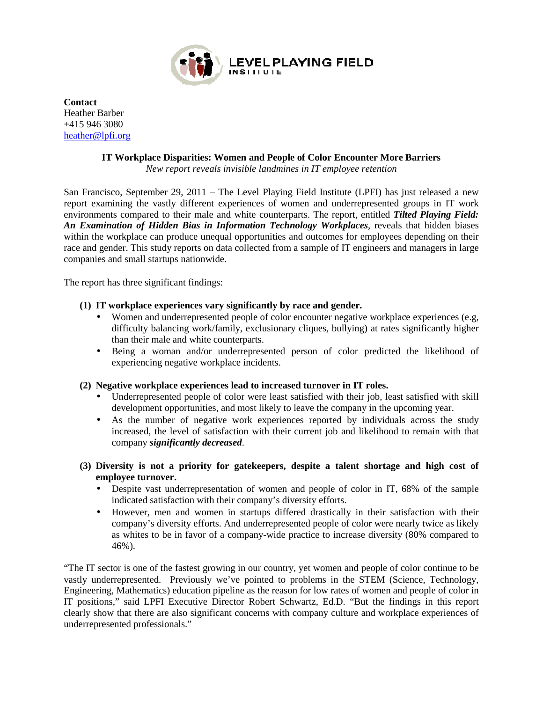

**Contact** Heather Barber +415 946 3080 heather@lpfi.org

## **IT Workplace Disparities: Women and People of Color Encounter More Barriers**

*New report reveals invisible landmines in IT employee retention*

San Francisco, September 29, 2011 – The Level Playing Field Institute (LPFI) has just released a new report examining the vastly different experiences of women and underrepresented groups in IT work report examining the vastly different experiences of women and underrepresented groups in IT work environments compared to their male and white counterparts. The report, entitled *Tilted Playing Field*: An Examination of Hidden Bias in Information Technology Workplaces, reveals that hidden biases within the workplace can produce unequal opportunities and outcomes for employees depending on their race and gender. This study reports on data collected from a sample of IT engineers and managers in large companies and small startups nationwide.

The report has three significant findings:

## **(1) IT workplace experiences vary significantly by race and gender IT gender.**

- Women and underrepresented people of color encounter negative workplace experiences (e.g, difficulty balancing work/family, exclusionary cliques, bullying) at rates significantly higher than their male and white counterparts.
- Being a woman and/or underrepresented person of color predicted the likelihood of Being a woman and/or underrepresented person of color predicted the likelihood of experiencing negative workplace incidents.
- (2) Negative workplace experiences lead to increased turnover in IT roles.
	- Underrepresented people of color were least satisfied with their job, least satisfied with skill development opportunities, and most likely to leave the company in the upcoming year. • Underrepresented people of color were least satisfied with their job, least satisfied with skill development opportunities, and most likely to leave the company in the upcoming year.<br>• As the number of negative work expe
	- increased, the level of satisfaction with their current job and likelihood to remain with that company *significantly decreased*. company *significantly decreased*
- **(3) Diversity is not a priority for gatekeepers, despite a talent shortage and high cost of employee turnover.** 
	- Despite vast underrepresentation of women and people of color in IT, 68% of the sample indicated satisfaction with their company's diversity efforts.
	- However, men and women in startups differed drastically in their satisfaction with their company's diversity efforts. And underrepresented people of color were nearly twice as likely as whites to be in favor of a company-wide practice to increase diversity (80% compared to 46%). presentation of women and people of color in IT, 68% of the sample<br>with their company's diversity efforts.<br>women in startups differed drastically in their satisfaction with their<br>efforts. And underrepresented people of col

"The IT sector is one of the fastest growing in our country, yet women and people of color continue to be "The IT sector is one of the fastest growing in our country, yet women and people of color continue to be vastly underrepresented. Previously we've pointed to problems in the STEM (Science, Technology, Engineering, Mathematics) education pipeline as the reason for low rates of women and people of color in IT positions," said LPFI Executive Director Robert Schwartz, Ed.D. "But the findings in this report IT positions," said LPFI Executive Director Robert Schwartz, Ed.D. "But the findings in this report clearly show that there are also significant concerns with company culture and workplace experiences of underrepresented professionals." ts. And underrepresented people of color were nearly twice as likely<br>of a company-wide practice to increase diversity (80% compared to<br>owing in our country, yet women and people of color continue to be<br>we've pointed to pro